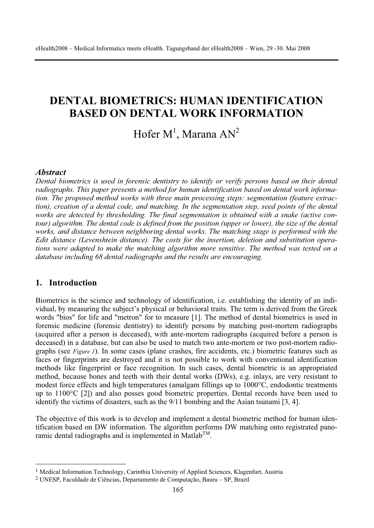# **DENTAL BIOMETRICS: HUMAN IDENTIFICATION BASED ON DENTAL WORK INFORMATION**

Hofer  $\mathbf{M}^1$ , Marana  $\mathbf{A}\mathbf{N}^2$ 

#### *Abstract*

*Dental biometrics is used in forensic dentistry to identify or verify persons based on their dental radiographs. This paper presents a method for human identification based on dental work information. The proposed method works with three main processing steps: segmentation (feature extraction), creation of a dental code, and matching. In the segmentation step, seed points of the dental works are detected by thresholding. The final segmentation is obtained with a snake (active contour)* algorithm. The dental code is defined from the position (upper or lower), the size of the dental *works, and distance between neighboring dental works. The matching stage is performed with the Edit distance (Levenshtein distance). The costs for the insertion, deletion and substitution operations were adapted to make the matching algorithm more sensitive. The method was tested on a database including 68 dental radiographs and the results are encouraging.* 

### **1. Introduction**

Biometrics is the science and technology of identification, i.e. establishing the identity of an individual, by measuring the subject's physical or behavioral traits. The term is derived from the Greek words "bios" for life and "metron" for to measure [1]. The method of dental biometrics is used in forensic medicine (forensic dentistry) to identify persons by matching post-mortem radiographs (acquired after a person is deceased), with ante-mortem radiographs (acquired before a person is deceased) in a database, but can also be used to match two ante-mortem or two post-mortem radiographs (see *Figure 1*). In some cases (plane crashes, fire accidents, etc.) biometric features such as faces or fingerprints are destroyed and it is not possible to work with conventional identification methods like fingerprint or face recognition. In such cases, dental biometric is an appropriated method, because bones and teeth with their dental works (DWs), e.g. inlays, are very resistant to modest force effects and high temperatures (amalgam fillings up to 1000°C, endodontic treatments up to 1100°C [2]) and also posses good biometric properties. Dental records have been used to identify the victims of disasters, such as the 9/11 bombing and the Asian tsunami [3, 4].

The objective of this work is to develop and implement a dental biometric method for human identification based on DW information. The algorithm performs DW matching onto registrated panoramic dental radiographs and is implemented in Matlab<sup>TM</sup>.

<sup>&</sup>lt;sup>1</sup> Medical Information Technology, Carinthia University of Applied Sciences, Klagenfurt, Austria

<sup>2</sup> UNESP, Faculdade de Ciências, Departamento de Computação, Bauru – SP, Brazil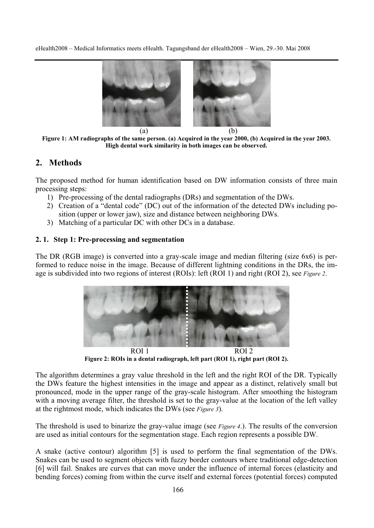

**Figure 1: AM radiographs of the same person. (a) Acquired in the year 2000, (b) Acquired in the year 2003. High dental work similarity in both images can be observed.** 

## **2. Methods**

The proposed method for human identification based on DW information consists of three main processing steps:

- 1) Pre-processing of the dental radiographs (DRs) and segmentation of the DWs.
- 2) Creation of a "dental code" (DC) out of the information of the detected DWs including position (upper or lower jaw), size and distance between neighboring DWs.
- 3) Matching of a particular DC with other DCs in a database.

#### **2. 1. Step 1: Pre-processing and segmentation**

The DR (RGB image) is converted into a gray-scale image and median filtering (size 6x6) is performed to reduce noise in the image. Because of different lightning conditions in the DRs, the image is subdivided into two regions of interest (ROIs): left (ROI 1) and right (ROI 2), see *Figure 2*.



ROI 1 ROI 2 **Figure 2: ROIs in a dental radiograph, left part (ROI 1), right part (ROI 2).** 

The algorithm determines a gray value threshold in the left and the right ROI of the DR. Typically the DWs feature the highest intensities in the image and appear as a distinct, relatively small but pronounced, mode in the upper range of the gray-scale histogram. After smoothing the histogram with a moving average filter, the threshold is set to the gray-value at the location of the left valley at the rightmost mode, which indicates the DWs (see *Figure 3*).

The threshold is used to binarize the gray-value image (see *Figure 4*.). The results of the conversion are used as initial contours for the segmentation stage. Each region represents a possible DW.

A snake (active contour) algorithm [5] is used to perform the final segmentation of the DWs. Snakes can be used to segment objects with fuzzy border contours where traditional edge-detection [6] will fail. Snakes are curves that can move under the influence of internal forces (elasticity and bending forces) coming from within the curve itself and external forces (potential forces) computed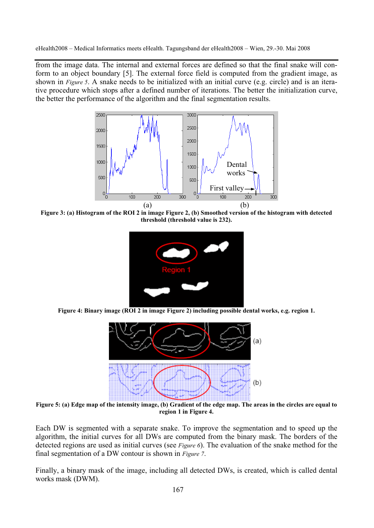from the image data. The internal and external forces are defined so that the final snake will conform to an object boundary [5]. The external force field is computed from the gradient image, as shown in *Figure 5*. A snake needs to be initialized with an initial curve (e.g. circle) and is an iterative procedure which stops after a defined number of iterations. The better the initialization curve, the better the performance of the algorithm and the final segmentation results.



**Figure 3: (a) Histogram of the ROI 2 in image Figure 2, (b) Smoothed version of the histogram with detected threshold (threshold value is 232).** 



**Figure 4: Binary image (ROI 2 in image Figure 2) including possible dental works, e.g. region 1.** 



**Figure 5: (a) Edge map of the intensity image, (b) Gradient of the edge map. The areas in the circles are equal to region 1 in Figure 4.** 

Each DW is segmented with a separate snake. To improve the segmentation and to speed up the algorithm, the initial curves for all DWs are computed from the binary mask. The borders of the detected regions are used as initial curves (see *Figure 6*). The evaluation of the snake method for the final segmentation of a DW contour is shown in *Figure 7*.

Finally, a binary mask of the image, including all detected DWs, is created, which is called dental works mask (DWM).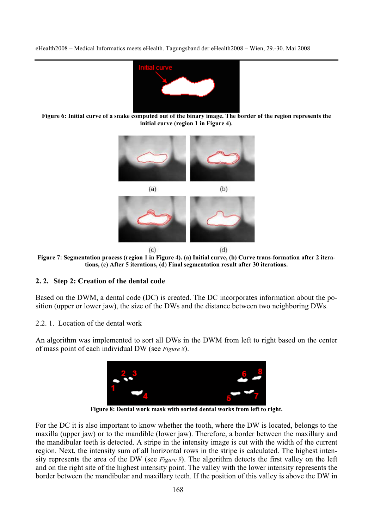

**Figure 6: Initial curve of a snake computed out of the binary image. The border of the region represents the initial curve (region 1 in Figure 4).** 



**Figure 7: Segmentation process (region 1 in Figure 4). (a) Initial curve, (b) Curve trans-formation after 2 iterations, (c) After 5 iterations, (d) Final segmentation result after 30 iterations.** 

#### **2. 2. Step 2: Creation of the dental code**

Based on the DWM, a dental code (DC) is created. The DC incorporates information about the position (upper or lower jaw), the size of the DWs and the distance between two neighboring DWs.

2.2. 1. Location of the dental work

An algorithm was implemented to sort all DWs in the DWM from left to right based on the center of mass point of each individual DW (see *Figure 8*).



**Figure 8: Dental work mask with sorted dental works from left to right.** 

For the DC it is also important to know whether the tooth, where the DW is located, belongs to the maxilla (upper jaw) or to the mandible (lower jaw). Therefore, a border between the maxillary and the mandibular teeth is detected. A stripe in the intensity image is cut with the width of the current region. Next, the intensity sum of all horizontal rows in the stripe is calculated. The highest intensity represents the area of the DW (see *Figure 9*). The algorithm detects the first valley on the left and on the right site of the highest intensity point. The valley with the lower intensity represents the border between the mandibular and maxillary teeth. If the position of this valley is above the DW in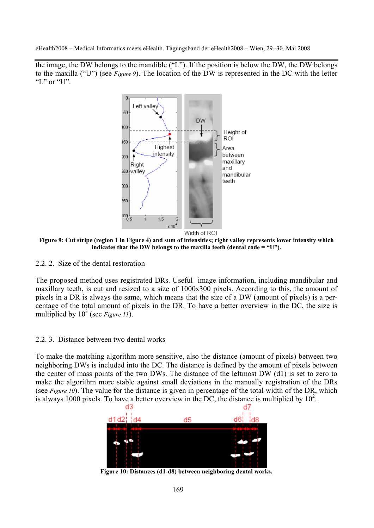the image, the DW belongs to the mandible ("L"). If the position is below the DW, the DW belongs to the maxilla ("U") (see *Figure 9*). The location of the DW is represented in the DC with the letter "L" or "U".



**Figure 9: Cut stripe (region 1 in Figure 4) and sum of intensities; right valley represents lower intensity which indicates that the DW belongs to the maxilla teeth (dental code = "U").** 

2.2. 2. Size of the dental restoration

The proposed method uses registrated DRs. Useful image information, including mandibular and maxillary teeth, is cut and resized to a size of 1000x300 pixels. According to this, the amount of pixels in a DR is always the same, which means that the size of a DW (amount of pixels) is a percentage of the total amount of pixels in the DR. To have a better overview in the DC, the size is multiplied by  $10^3$  (see *Figure 11*).

## 2.2. 3. Distance between two dental works

To make the matching algorithm more sensitive, also the distance (amount of pixels) between two neighboring DWs is included into the DC. The distance is defined by the amount of pixels between the center of mass points of the two DWs. The distance of the leftmost DW (d1) is set to zero to make the algorithm more stable against small deviations in the manually registration of the DRs (see *Figure 10*). The value for the distance is given in percentage of the total width of the DR, which is always 1000 pixels. To have a better overview in the DC, the distance is multiplied by  $10^2$ .



**Figure 10: Distances (d1-d8) between neighboring dental works.**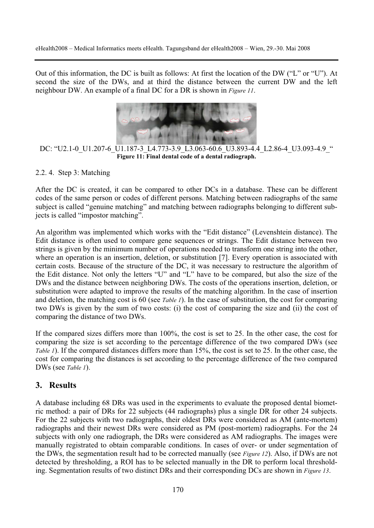Out of this information, the DC is built as follows: At first the location of the DW ("L" or "U"). At second the size of the DWs, and at third the distance between the current DW and the left neighbour DW. An example of a final DC for a DR is shown in *Figure 11*.



DC: "U2.1-0\_U1.207-6\_U1.187-3\_L4.773-3.9\_L3.063-60.6\_U3.893-4.4\_L2.86-4\_U3.093-4.9\_" **Figure 11: Final dental code of a dental radiograph.** 

#### 2.2. 4. Step 3: Matching

After the DC is created, it can be compared to other DCs in a database. These can be different codes of the same person or codes of different persons. Matching between radiographs of the same subject is called "genuine matching" and matching between radiographs belonging to different subjects is called "impostor matching".

An algorithm was implemented which works with the "Edit distance" (Levenshtein distance). The Edit distance is often used to compare gene sequences or strings. The Edit distance between two strings is given by the minimum number of operations needed to transform one string into the other, where an operation is an insertion, deletion, or substitution [7]. Every operation is associated with certain costs. Because of the structure of the DC, it was necessary to restructure the algorithm of the Edit distance. Not only the letters "U" and "L" have to be compared, but also the size of the DWs and the distance between neighboring DWs. The costs of the operations insertion, deletion, or substitution were adapted to improve the results of the matching algorithm. In the case of insertion and deletion, the matching cost is 60 (see *Table 1*). In the case of substitution, the cost for comparing two DWs is given by the sum of two costs: (i) the cost of comparing the size and (ii) the cost of comparing the distance of two DWs.

If the compared sizes differs more than 100%, the cost is set to 25. In the other case, the cost for comparing the size is set according to the percentage difference of the two compared DWs (see *Table 1*). If the compared distances differs more than 15%, the cost is set to 25. In the other case, the cost for comparing the distances is set according to the percentage difference of the two compared DWs (see *Table 1*).

# **3. Results**

A database including 68 DRs was used in the experiments to evaluate the proposed dental biometric method: a pair of DRs for 22 subjects (44 radiographs) plus a single DR for other 24 subjects. For the 22 subjects with two radiographs, their oldest DRs were considered as AM (ante-mortem) radiographs and their newest DRs were considered as PM (post-mortem) radiographs. For the 24 subjects with only one radiograph, the DRs were considered as AM radiographs. The images were manually registrated to obtain comparable conditions. In cases of over- or under segmentation of the DWs, the segmentation result had to be corrected manually (see *Figure 12*). Also, if DWs are not detected by thresholding, a ROI has to be selected manually in the DR to perform local thresholding. Segmentation results of two distinct DRs and their corresponding DCs are shown in *Figure 13*.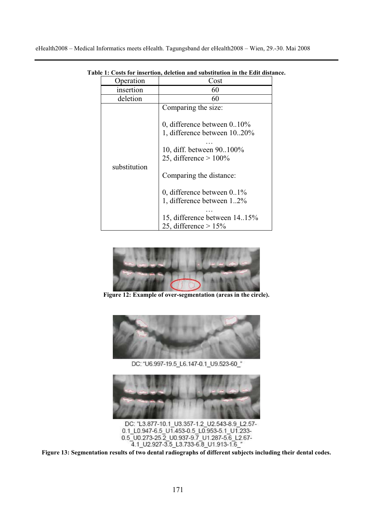| peration     | Cost                                                                                                                                                                                                                                                                                              |
|--------------|---------------------------------------------------------------------------------------------------------------------------------------------------------------------------------------------------------------------------------------------------------------------------------------------------|
| insertion    | 60                                                                                                                                                                                                                                                                                                |
| deletion     | 60                                                                                                                                                                                                                                                                                                |
| substitution | Comparing the size:<br>0, difference between $0.10\%$<br>1, difference between 1020%<br>10, diff. between 90100%<br>25, difference $> 100\%$<br>Comparing the distance:<br>0, difference between $0.1\%$<br>1. difference between 12%<br>15, difference between 14.15%<br>25, difference $> 15\%$ |

**Table 1: Costs for insertion, deletion and substitution in the Edit distance.** 



**Figure 12: Example of over-segmentation (areas in the circle).** 



DC: "U6.997-19.5 L6.147-0.1 U9.523-60 "



0.1\_L0.947-6.5\_U1.453-0.5\_L0.953-5.1\_U1.233-0.5 U0.273-25.2 U0.937-9.7 U1.287-5.6 L2.67-4.1 U2.927-3.5 L3.733-6.8 U1.913-1.6 "

**Figure 13: Segmentation results of two dental radiographs of different subjects including their dental codes.**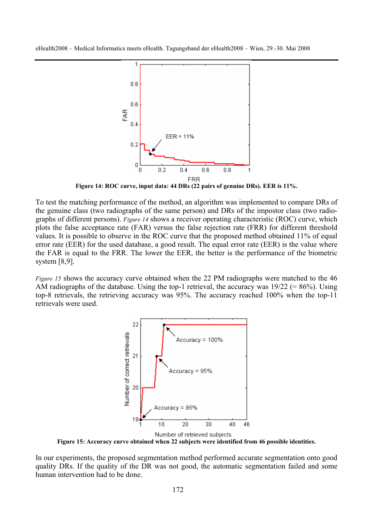

**Figure 14: ROC curve, input data: 44 DRs (22 pairs of genuine DRs). EER is 11%.** 

To test the matching performance of the method, an algorithm was implemented to compare DRs of the genuine class (two radiographs of the same person) and DRs of the impostor class (two radiographs of different persons). *Figure 14* shows a receiver operating characteristic (ROC) curve, which plots the false acceptance rate (FAR) versus the false rejection rate (FRR) for different threshold values. It is possible to observe in the ROC curve that the proposed method obtained 11% of equal error rate (EER) for the used database, a good result. The equal error rate (EER) is the value where the FAR is equal to the FRR. The lower the EER, the better is the performance of the biometric system [8,9].

*Figure 15* shows the accuracy curve obtained when the 22 PM radiographs were matched to the 46 AM radiographs of the database. Using the top-1 retrieval, the accuracy was  $19/22$  (=  $86\%$ ). Using top-8 retrievals, the retrieving accuracy was 95%. The accuracy reached 100% when the top-11 retrievals were used.



**Figure 15: Accuracy curve obtained when 22 subjects were identified from 46 possible identities.** 

In our experiments, the proposed segmentation method performed accurate segmentation onto good quality DRs. If the quality of the DR was not good, the automatic segmentation failed and some human intervention had to be done.